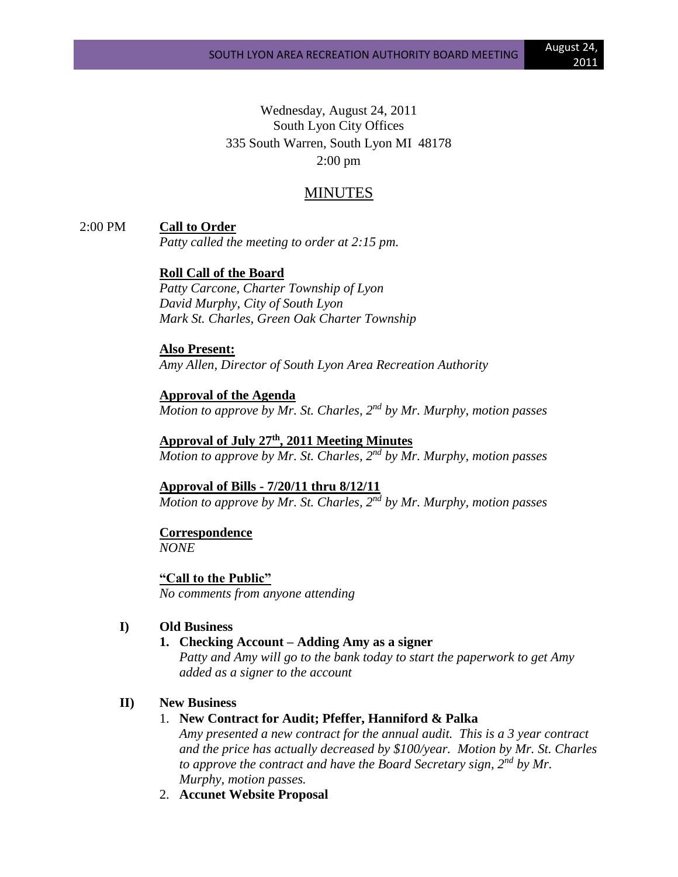Wednesday, August 24, 2011 South Lyon City Offices 335 South Warren, South Lyon MI 48178 2:00 pm

# MINUTES

2:00 PM **Call to Order**

*Patty called the meeting to order at 2:15 pm.*

**Roll Call of the Board**

*Patty Carcone, Charter Township of Lyon David Murphy, City of South Lyon Mark St. Charles, Green Oak Charter Township*

**Also Present:**

*Amy Allen, Director of South Lyon Area Recreation Authority*

**Approval of the Agenda** *Motion to approve by Mr. St. Charles, 2nd by Mr. Murphy, motion passes*

**Approval of July 27th , 2011 Meeting Minutes** *Motion to approve by Mr. St. Charles, 2nd by Mr. Murphy, motion passes*

**Approval of Bills - 7/20/11 thru 8/12/11** *Motion to approve by Mr. St. Charles, 2nd by Mr. Murphy, motion passes*

# **Correspondence**

*NONE*

**"Call to the Public"** *No comments from anyone attending*

## **I) Old Business**

**1. Checking Account – Adding Amy as a signer**

*Patty and Amy will go to the bank today to start the paperwork to get Amy added as a signer to the account*

## **II) New Business**

# 1. **New Contract for Audit; Pfeffer, Hanniford & Palka**

*Amy presented a new contract for the annual audit. This is a 3 year contract and the price has actually decreased by \$100/year. Motion by Mr. St. Charles to approve the contract and have the Board Secretary sign, 2nd by Mr. Murphy, motion passes.*

2. **Accunet Website Proposal**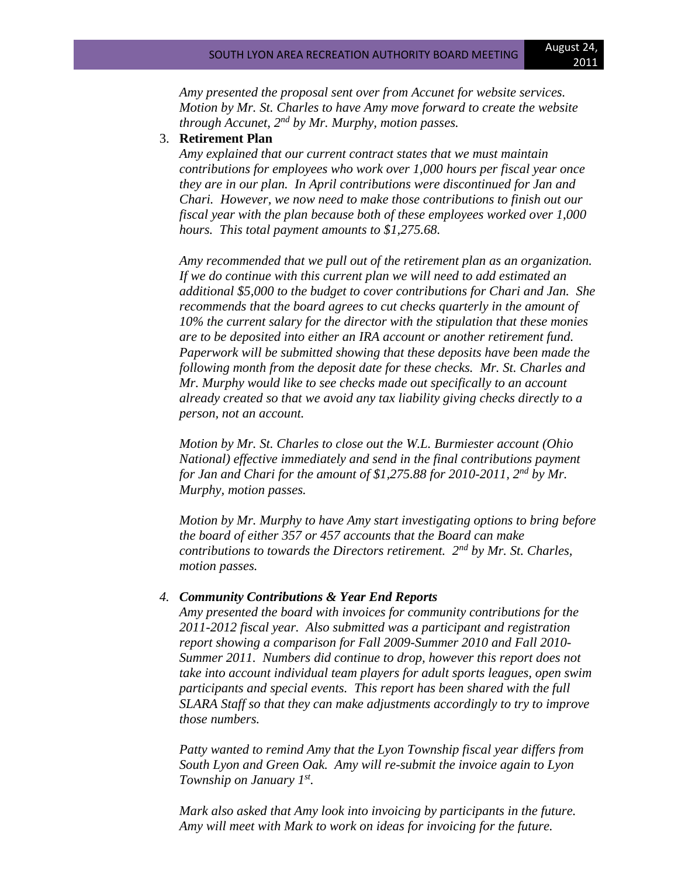*Amy presented the proposal sent over from Accunet for website services. Motion by Mr. St. Charles to have Amy move forward to create the website through Accunet, 2nd by Mr. Murphy, motion passes.*

#### 3. **Retirement Plan**

*Amy explained that our current contract states that we must maintain contributions for employees who work over 1,000 hours per fiscal year once they are in our plan. In April contributions were discontinued for Jan and Chari. However, we now need to make those contributions to finish out our fiscal year with the plan because both of these employees worked over 1,000 hours. This total payment amounts to \$1,275.68.* 

*Amy recommended that we pull out of the retirement plan as an organization. If we do continue with this current plan we will need to add estimated an additional \$5,000 to the budget to cover contributions for Chari and Jan. She recommends that the board agrees to cut checks quarterly in the amount of 10% the current salary for the director with the stipulation that these monies are to be deposited into either an IRA account or another retirement fund. Paperwork will be submitted showing that these deposits have been made the following month from the deposit date for these checks. Mr. St. Charles and Mr. Murphy would like to see checks made out specifically to an account already created so that we avoid any tax liability giving checks directly to a person, not an account.*

*Motion by Mr. St. Charles to close out the W.L. Burmiester account (Ohio National) effective immediately and send in the final contributions payment for Jan and Chari for the amount of \$1,275.88 for 2010-2011, 2nd by Mr. Murphy, motion passes.*

*Motion by Mr. Murphy to have Amy start investigating options to bring before the board of either 357 or 457 accounts that the Board can make contributions to towards the Directors retirement. 2nd by Mr. St. Charles, motion passes.*

#### *4. Community Contributions & Year End Reports*

*Amy presented the board with invoices for community contributions for the 2011-2012 fiscal year. Also submitted was a participant and registration report showing a comparison for Fall 2009-Summer 2010 and Fall 2010- Summer 2011. Numbers did continue to drop, however this report does not take into account individual team players for adult sports leagues, open swim participants and special events. This report has been shared with the full SLARA Staff so that they can make adjustments accordingly to try to improve those numbers.*

*Patty wanted to remind Amy that the Lyon Township fiscal year differs from South Lyon and Green Oak. Amy will re-submit the invoice again to Lyon Township on January 1st .*

*Mark also asked that Amy look into invoicing by participants in the future. Amy will meet with Mark to work on ideas for invoicing for the future.*